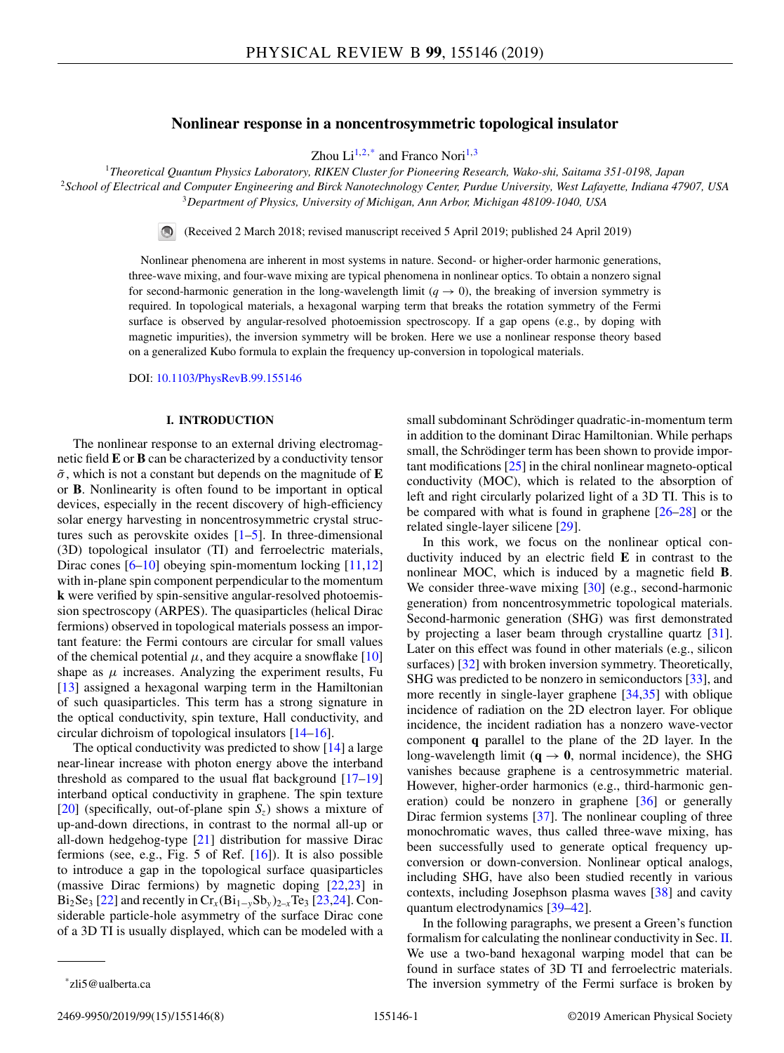# **Nonlinear response in a noncentrosymmetric topological insulator**

Zhou  $Li^{1,2,*}$  and Franco Nori<sup>1,3</sup>

<sup>1</sup>*Theoretical Quantum Physics Laboratory, RIKEN Cluster for Pioneering Research, Wako-shi, Saitama 351-0198, Japan* <sup>2</sup>*School of Electrical and Computer Engineering and Birck Nanotechnology Center, Purdue University, West Lafayette, Indiana 47907, USA* <sup>3</sup>*Department of Physics, University of Michigan, Ann Arbor, Michigan 48109-1040, USA*

(Received 2 March 2018; revised manuscript received 5 April 2019; published 24 April 2019)

Nonlinear phenomena are inherent in most systems in nature. Second- or higher-order harmonic generations, three-wave mixing, and four-wave mixing are typical phenomena in nonlinear optics. To obtain a nonzero signal for second-harmonic generation in the long-wavelength limit  $(q \rightarrow 0)$ , the breaking of inversion symmetry is required. In topological materials, a hexagonal warping term that breaks the rotation symmetry of the Fermi surface is observed by angular-resolved photoemission spectroscopy. If a gap opens (e.g., by doping with magnetic impurities), the inversion symmetry will be broken. Here we use a nonlinear response theory based on a generalized Kubo formula to explain the frequency up-conversion in topological materials.

DOI: [10.1103/PhysRevB.99.155146](https://doi.org/10.1103/PhysRevB.99.155146)

#### **I. INTRODUCTION**

The nonlinear response to an external driving electromagnetic field **E** or **B** can be characterized by a conductivity tensor  $\tilde{\sigma}$ , which is not a constant but depends on the magnitude of **E** or **B**. Nonlinearity is often found to be important in optical devices, especially in the recent discovery of high-efficiency solar energy harvesting in noncentrosymmetric crystal structures such as perovskite oxides  $[1–5]$ . In three-dimensional (3D) topological insulator (TI) and ferroelectric materials, Dirac cones [\[6–10\]](#page-6-0) obeying spin-momentum locking [\[11,12\]](#page-6-0) with in-plane spin component perpendicular to the momentum **k** were verified by spin-sensitive angular-resolved photoemission spectroscopy (ARPES). The quasiparticles (helical Dirac fermions) observed in topological materials possess an important feature: the Fermi contours are circular for small values of the chemical potential  $\mu$ , and they acquire a snowflake [\[10\]](#page-6-0) shape as  $\mu$  increases. Analyzing the experiment results, Fu [\[13\]](#page-6-0) assigned a hexagonal warping term in the Hamiltonian of such quasiparticles. This term has a strong signature in the optical conductivity, spin texture, Hall conductivity, and circular dichroism of topological insulators [\[14–16\]](#page-6-0).

The optical conductivity was predicted to show [\[14\]](#page-6-0) a large near-linear increase with photon energy above the interband threshold as compared to the usual flat background [\[17–](#page-6-0)[19\]](#page-7-0) interband optical conductivity in graphene. The spin texture [\[20\]](#page-7-0) (specifically, out-of-plane spin  $S_z$ ) shows a mixture of up-and-down directions, in contrast to the normal all-up or all-down hedgehog-type [\[21\]](#page-7-0) distribution for massive Dirac fermions (see, e.g., Fig.  $5$  of Ref.  $[16]$ ). It is also possible to introduce a gap in the topological surface quasiparticles (massive Dirac fermions) by magnetic doping [\[22,23\]](#page-7-0) in Bi<sub>2</sub>Se<sub>3</sub> [\[22\]](#page-7-0) and recently in  $Cr_x(Bi_{1-y}Sb_y)_{2-x}Te_3$  [\[23,24\]](#page-7-0). Considerable particle-hole asymmetry of the surface Dirac cone of a 3D TI is usually displayed, which can be modeled with a

small subdominant Schrödinger quadratic-in-momentum term in addition to the dominant Dirac Hamiltonian. While perhaps small, the Schrödinger term has been shown to provide important modifications [\[25\]](#page-7-0) in the chiral nonlinear magneto-optical conductivity (MOC), which is related to the absorption of left and right circularly polarized light of a 3D TI. This is to be compared with what is found in graphene [\[26–28\]](#page-7-0) or the related single-layer silicene [\[29\]](#page-7-0).

In this work, we focus on the nonlinear optical conductivity induced by an electric field **E** in contrast to the nonlinear MOC, which is induced by a magnetic field **B**. We consider three-wave mixing  $[30]$  (e.g., second-harmonic generation) from noncentrosymmetric topological materials. Second-harmonic generation (SHG) was first demonstrated by projecting a laser beam through crystalline quartz [\[31\]](#page-7-0). Later on this effect was found in other materials (e.g., silicon surfaces) [\[32\]](#page-7-0) with broken inversion symmetry. Theoretically, SHG was predicted to be nonzero in semiconductors [\[33\]](#page-7-0), and more recently in single-layer graphene [\[34,35\]](#page-7-0) with oblique incidence of radiation on the 2D electron layer. For oblique incidence, the incident radiation has a nonzero wave-vector component **q** parallel to the plane of the 2D layer. In the long-wavelength limit ( $q \rightarrow 0$ , normal incidence), the SHG vanishes because graphene is a centrosymmetric material. However, higher-order harmonics (e.g., third-harmonic generation) could be nonzero in graphene [\[36\]](#page-7-0) or generally Dirac fermion systems [\[37\]](#page-7-0). The nonlinear coupling of three monochromatic waves, thus called three-wave mixing, has been successfully used to generate optical frequency upconversion or down-conversion. Nonlinear optical analogs, including SHG, have also been studied recently in various contexts, including Josephson plasma waves [\[38\]](#page-7-0) and cavity quantum electrodynamics [\[39–42\]](#page-7-0).

In the following paragraphs, we present a Green's function formalism for calculating the nonlinear conductivity in Sec. [II.](#page-1-0) We use a two-band hexagonal warping model that can be found in surface states of 3D TI and ferroelectric materials. The inversion symmetry of the Fermi surface is broken by

<sup>\*</sup>zli5@ualberta.ca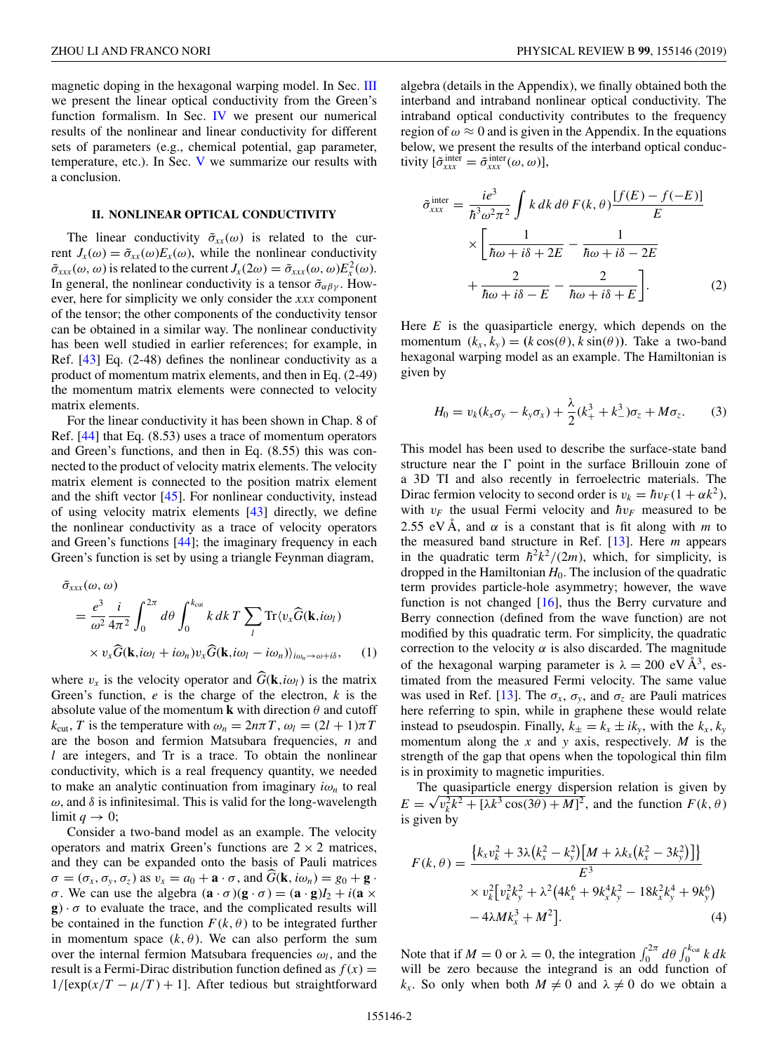<span id="page-1-0"></span>magnetic doping in the hexagonal warping model. In Sec. [III](#page-2-0) we present the linear optical conductivity from the Green's function formalism. In Sec. [IV](#page-2-0) we present our numerical results of the nonlinear and linear conductivity for different sets of parameters (e.g., chemical potential, gap parameter, temperature, etc.). In Sec. [V](#page-3-0) we summarize our results with a conclusion.

### **II. NONLINEAR OPTICAL CONDUCTIVITY**

The linear conductivity  $\tilde{\sigma}_{xx}(\omega)$  is related to the current  $J_x(\omega) = \tilde{\sigma}_{xx}(\omega) E_x(\omega)$ , while the nonlinear conductivity  $\tilde{\sigma}_{xxx}(\omega,\omega)$  is related to the current  $J_x(2\omega) = \tilde{\sigma}_{xxx}(\omega,\omega)E_x^2(\omega)$ . In general, the nonlinear conductivity is a tensor  $\tilde{\sigma}_{\alpha\beta\gamma}$ . However, here for simplicity we only consider the *xxx* component of the tensor; the other components of the conductivity tensor can be obtained in a similar way. The nonlinear conductivity has been well studied in earlier references; for example, in Ref. [\[43\]](#page-7-0) Eq. (2-48) defines the nonlinear conductivity as a product of momentum matrix elements, and then in Eq. (2-49) the momentum matrix elements were connected to velocity matrix elements.

For the linear conductivity it has been shown in Chap. 8 of Ref. [\[44\]](#page-7-0) that Eq. (8.53) uses a trace of momentum operators and Green's functions, and then in Eq. (8.55) this was connected to the product of velocity matrix elements. The velocity matrix element is connected to the position matrix element and the shift vector [\[45\]](#page-7-0). For nonlinear conductivity, instead of using velocity matrix elements [\[43\]](#page-7-0) directly, we define the nonlinear conductivity as a trace of velocity operators and Green's functions [\[44\]](#page-7-0); the imaginary frequency in each Green's function is set by using a triangle Feynman diagram,

$$
\tilde{\sigma}_{xxx}(\omega,\omega)
$$
\n
$$
= \frac{e^3}{\omega^2} \frac{i}{4\pi^2} \int_0^{2\pi} d\theta \int_0^{k_{\text{cut}}} k \, dk \, T \sum_l \text{Tr} \langle v_x \hat{G}(\mathbf{k}, i\omega_l) \rangle
$$
\n
$$
\times v_x \hat{G}(\mathbf{k}, i\omega_l + i\omega_n) v_x \hat{G}(\mathbf{k}, i\omega_l - i\omega_n) \rangle_{i\omega_n \to \omega + i\delta}, \quad (1)
$$

where  $v_x$  is the velocity operator and  $G(\mathbf{k}, i\omega_l)$  is the matrix Green's function, *e* is the charge of the electron, *k* is the absolute value of the momentum **k** with direction  $\theta$  and cutoff  $k_{\text{cut}}$ , *T* is the temperature with  $\omega_n = 2n\pi T$ ,  $\omega_l = (2l + 1)\pi T$ are the boson and fermion Matsubara frequencies, *n* and *l* are integers, and Tr is a trace. To obtain the nonlinear conductivity, which is a real frequency quantity, we needed to make an analytic continuation from imaginary  $i\omega_n$  to real  $\omega$ , and  $\delta$  is infinitesimal. This is valid for the long-wavelength limit  $q \to 0$ ;

Consider a two-band model as an example. The velocity operators and matrix Green's functions are  $2 \times 2$  matrices, and they can be expanded onto the basis of Pauli matrices  $\sigma = (\sigma_x, \sigma_y, \sigma_z)$  as  $v_x = a_0 + \mathbf{a} \cdot \sigma$ , and  $\widehat{G}(\mathbf{k}, i\omega_n) = g_0 + \mathbf{g} \cdot \mathbf{a}$ σ. We can use the algebra  $(**a** · σ)(**g** · σ) = (**a** · **g**) $I_2 + i(**a** \times \text{g}$ )$ **g**)  $\cdot \sigma$  to evaluate the trace, and the complicated results will be contained in the function  $F(k, \theta)$  to be integrated further in momentum space  $(k, \theta)$ . We can also perform the sum over the internal fermion Matsubara frequencies  $\omega_l$ , and the result is a Fermi-Dirac distribution function defined as  $f(x) =$  $1/[\exp(x/T - \mu/T) + 1]$ . After tedious but straightforward

algebra (details in the Appendix), we finally obtained both the interband and intraband nonlinear optical conductivity. The intraband optical conductivity contributes to the frequency region of  $\omega \approx 0$  and is given in the Appendix. In the equations below, we present the results of the interband optical conductivity  $[\tilde{\sigma}_{xxx}^{\text{inter}} = \tilde{\sigma}_{xxx}^{\text{inter}}(\omega, \omega)],$ 

$$
\tilde{\sigma}_{xxx}^{\text{inter}} = \frac{ie^3}{\hbar^3 \omega^2 \pi^2} \int k \, dk \, d\theta \, F(k, \theta) \frac{[f(E) - f(-E)]}{E}
$$

$$
\times \left[ \frac{1}{\hbar \omega + i\delta + 2E} - \frac{1}{\hbar \omega + i\delta - 2E} + \frac{2}{\hbar \omega + i\delta - E} - \frac{2}{\hbar \omega + i\delta + E} \right]. \tag{2}
$$

Here *E* is the quasiparticle energy, which depends on the momentum  $(k_x, k_y) = (k \cos(\theta), k \sin(\theta))$ . Take a two-band hexagonal warping model as an example. The Hamiltonian is given by

$$
H_0 = v_k(k_x \sigma_y - k_y \sigma_x) + \frac{\lambda}{2} (k_+^3 + k_-^3) \sigma_z + M \sigma_z.
$$
 (3)

This model has been used to describe the surface-state band structure near the  $\Gamma$  point in the surface Brillouin zone of a 3D TI and also recently in ferroelectric materials. The Dirac fermion velocity to second order is  $v_k = \hbar v_F (1 + \alpha k^2)$ , with  $v_F$  the usual Fermi velocity and  $\hbar v_F$  measured to be 2.55 eV Å, and  $\alpha$  is a constant that is fit along with *m* to the measured band structure in Ref. [\[13\]](#page-6-0). Here *m* appears in the quadratic term  $\hbar^2 k^2/(2m)$ , which, for simplicity, is dropped in the Hamiltonian  $H_0$ . The inclusion of the quadratic term provides particle-hole asymmetry; however, the wave function is not changed [\[16\]](#page-6-0), thus the Berry curvature and Berry connection (defined from the wave function) are not modified by this quadratic term. For simplicity, the quadratic correction to the velocity  $\alpha$  is also discarded. The magnitude of the hexagonal warping parameter is  $\lambda = 200 \text{ eV} \text{ Å}^3$ , estimated from the measured Fermi velocity. The same value was used in Ref. [\[13\]](#page-6-0). The  $\sigma_x$ ,  $\sigma_y$ , and  $\sigma_z$  are Pauli matrices here referring to spin, while in graphene these would relate instead to pseudospin. Finally,  $k_{\pm} = k_x \pm ik_y$ , with the  $k_x$ ,  $k_y$ momentum along the *x* and *y* axis, respectively. *M* is the strength of the gap that opens when the topological thin film is in proximity to magnetic impurities.

The quasiparticle energy dispersion relation is given by *E* =  $\sqrt{v_k^2 k^2 + [\lambda k^3 \cos(3\theta) + M]^2}$ , and the function *F*(*k*, θ) is given by

$$
F(k, \theta) = \frac{\{k_x v_k^2 + 3\lambda (k_x^2 - k_y^2) [M + \lambda k_x (k_x^2 - 3k_y^2)]\}}{E^3}
$$
  
 
$$
\times v_k^2 [v_k^2 k_y^2 + \lambda^2 (4k_x^6 + 9k_x^4 k_y^2 - 18k_x^2 k_y^4 + 9k_y^6)
$$
  
 
$$
-4\lambda M k_x^3 + M^2].
$$
 (4)

Note that if  $M = 0$  or  $\lambda = 0$ , the integration  $\int_0^{2\pi} d\theta \int_0^{k_{\text{cut}}} k \, dk$ will be zero because the integrand is an odd function of *k<sub>x</sub>*. So only when both  $M \neq 0$  and  $\lambda \neq 0$  do we obtain a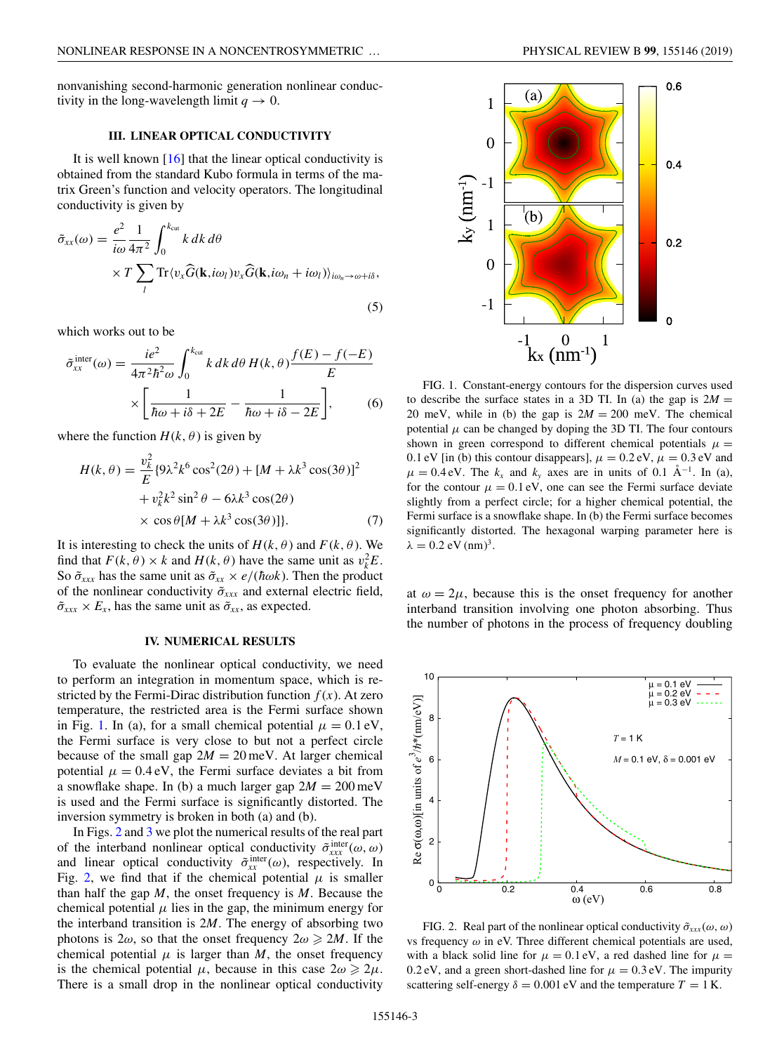<span id="page-2-0"></span>nonvanishing second-harmonic generation nonlinear conductivity in the long-wavelength limit  $q \to 0$ .

#### **III. LINEAR OPTICAL CONDUCTIVITY**

It is well known  $[16]$  that the linear optical conductivity is obtained from the standard Kubo formula in terms of the matrix Green's function and velocity operators. The longitudinal conductivity is given by

$$
\tilde{\sigma}_{xx}(\omega) = \frac{e^2}{i\omega} \frac{1}{4\pi^2} \int_0^{k_{\text{cut}}} k \, dk \, d\theta
$$
  
× $T \sum_l \text{Tr} \langle v_x \hat{G}(\mathbf{k}, i\omega_l) v_x \hat{G}(\mathbf{k}, i\omega_n + i\omega_l) \rangle_{i\omega_n \to \omega + i\delta},$ \n(5)

which works out to be

$$
\tilde{\sigma}_{xx}^{\text{inter}}(\omega) = \frac{ie^2}{4\pi^2\hbar^2\omega} \int_0^{k_{\text{cut}}} k \, dk \, d\theta \, H(k,\theta) \frac{f(E) - f(-E)}{E}
$$

$$
\times \left[ \frac{1}{\hbar\omega + i\delta + 2E} - \frac{1}{\hbar\omega + i\delta - 2E} \right], \tag{6}
$$

where the function  $H(k, \theta)$  is given by

$$
H(k,\theta) = \frac{v_k^2}{E} \{9\lambda^2 k^6 \cos^2(2\theta) + [M + \lambda k^3 \cos(3\theta)]^2
$$
  
+  $v_k^2 k^2 \sin^2 \theta - 6\lambda k^3 \cos(2\theta)$   
×  $\cos \theta [M + \lambda k^3 \cos(3\theta)]\}$ . (7)

It is interesting to check the units of  $H(k, \theta)$  and  $F(k, \theta)$ . We find that  $F(k, \theta) \times k$  and  $H(k, \theta)$  have the same unit as  $v_k^2 E$ . So  $\tilde{\sigma}_{xxx}$  has the same unit as  $\tilde{\sigma}_{xx} \times e/(\hbar \omega k)$ . Then the product of the nonlinear conductivity ˜σ*xxx* and external electric field,  $\tilde{\sigma}_{xxx} \times E_x$ , has the same unit as  $\tilde{\sigma}_{xx}$ , as expected.

#### **IV. NUMERICAL RESULTS**

To evaluate the nonlinear optical conductivity, we need to perform an integration in momentum space, which is restricted by the Fermi-Dirac distribution function  $f(x)$ . At zero temperature, the restricted area is the Fermi surface shown in Fig. 1. In (a), for a small chemical potential  $\mu = 0.1$  eV, the Fermi surface is very close to but not a perfect circle because of the small gap  $2M = 20$  meV. At larger chemical potential  $\mu = 0.4$  eV, the Fermi surface deviates a bit from a snowflake shape. In (b) a much larger gap  $2M = 200$  meV is used and the Fermi surface is significantly distorted. The inversion symmetry is broken in both (a) and (b).

In Figs. 2 and [3](#page-3-0) we plot the numerical results of the real part of the interband nonlinear optical conductivity  $\tilde{\sigma}_{xxx}^{\text{inter}}(\omega,\omega)$ and linear optical conductivity  $\tilde{\sigma}_{xx}^{\text{inter}}(\omega)$ , respectively. In Fig. 2, we find that if the chemical potential  $\mu$  is smaller than half the gap *M*, the onset frequency is *M*. Because the chemical potential  $\mu$  lies in the gap, the minimum energy for the interband transition is 2*M*. The energy of absorbing two photons is  $2\omega$ , so that the onset frequency  $2\omega \ge 2M$ . If the chemical potential  $\mu$  is larger than *M*, the onset frequency is the chemical potential  $\mu$ , because in this case  $2\omega \geq 2\mu$ . There is a small drop in the nonlinear optical conductivity



FIG. 1. Constant-energy contours for the dispersion curves used to describe the surface states in a 3D TI. In (a) the gap is  $2M =$ 20 meV, while in (b) the gap is  $2M = 200$  meV. The chemical potential  $\mu$  can be changed by doping the 3D TI. The four contours shown in green correspond to different chemical potentials  $\mu =$ 0.1 eV [in (b) this contour disappears],  $\mu = 0.2$  eV,  $\mu = 0.3$  eV and  $\mu = 0.4$  eV. The  $k_x$  and  $k_y$  axes are in units of 0.1 Å<sup>-1</sup>. In (a), for the contour  $\mu = 0.1$  eV, one can see the Fermi surface deviate slightly from a perfect circle; for a higher chemical potential, the Fermi surface is a snowflake shape. In (b) the Fermi surface becomes significantly distorted. The hexagonal warping parameter here is  $\lambda = 0.2$  eV (nm)<sup>3</sup>.

at  $\omega = 2\mu$ , because this is the onset frequency for another interband transition involving one photon absorbing. Thus the number of photons in the process of frequency doubling



FIG. 2. Real part of the nonlinear optical conductivity  $\tilde{\sigma}_{xx}(\omega,\omega)$ vs frequency  $\omega$  in eV. Three different chemical potentials are used, with a black solid line for  $\mu = 0.1$  eV, a red dashed line for  $\mu =$ 0.2 eV, and a green short-dashed line for  $\mu = 0.3$  eV. The impurity scattering self-energy  $\delta = 0.001$  eV and the temperature  $T = 1$  K.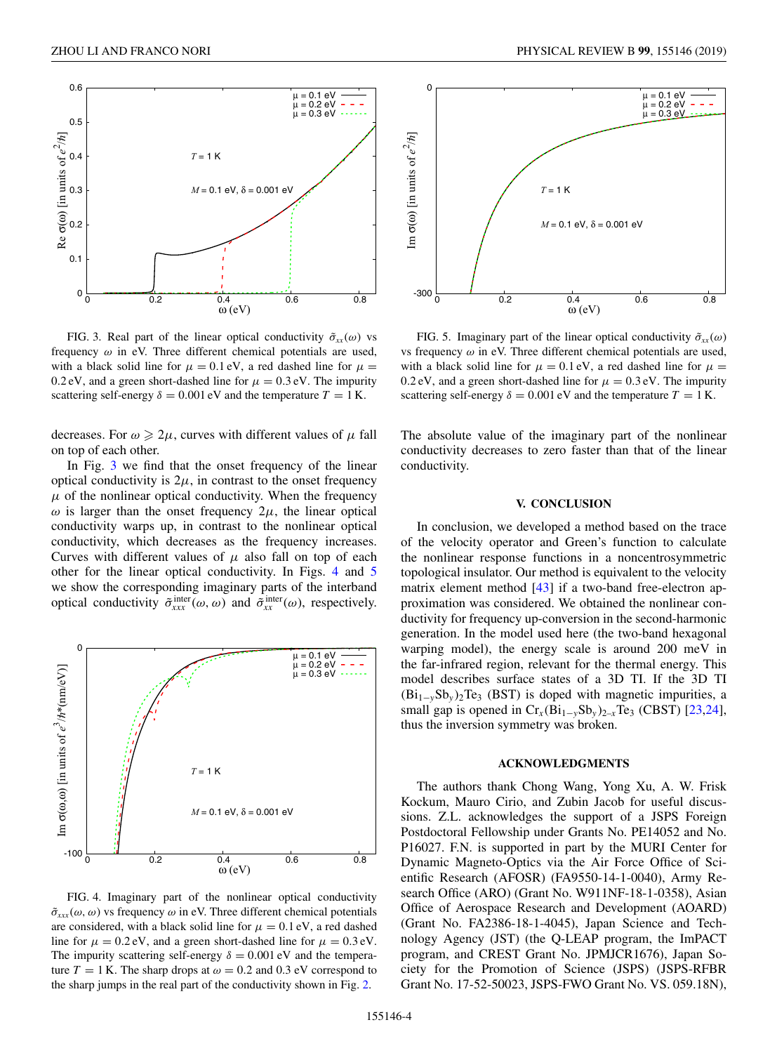<span id="page-3-0"></span>

FIG. 3. Real part of the linear optical conductivity  $\tilde{\sigma}_{xx}(\omega)$  vs frequency  $\omega$  in eV. Three different chemical potentials are used, with a black solid line for  $\mu = 0.1$  eV, a red dashed line for  $\mu =$ 0.2 eV, and a green short-dashed line for  $\mu = 0.3$  eV. The impurity scattering self-energy  $\delta = 0.001$  eV and the temperature  $T = 1$  K.

decreases. For  $\omega \geq 2\mu$ , curves with different values of  $\mu$  fall on top of each other.

In Fig. 3 we find that the onset frequency of the linear optical conductivity is  $2\mu$ , in contrast to the onset frequency  $\mu$  of the nonlinear optical conductivity. When the frequency  $\omega$  is larger than the onset frequency  $2\mu$ , the linear optical conductivity warps up, in contrast to the nonlinear optical conductivity, which decreases as the frequency increases. Curves with different values of  $\mu$  also fall on top of each other for the linear optical conductivity. In Figs. 4 and 5 we show the corresponding imaginary parts of the interband optical conductivity  $\tilde{\sigma}_{xxx}^{\text{inter}}(\omega, \omega)$  and  $\tilde{\sigma}_{xx}^{\text{inter}}(\omega)$ , respectively.



FIG. 4. Imaginary part of the nonlinear optical conductivity  $\tilde{\sigma}_{xx}(\omega,\omega)$  vs frequency  $\omega$  in eV. Three different chemical potentials are considered, with a black solid line for  $\mu = 0.1$  eV, a red dashed line for  $\mu = 0.2$  eV, and a green short-dashed line for  $\mu = 0.3$  eV. The impurity scattering self-energy  $\delta = 0.001$  eV and the temperature  $T = 1$  K. The sharp drops at  $\omega = 0.2$  and 0.3 eV correspond to the sharp jumps in the real part of the conductivity shown in Fig. [2.](#page-2-0)



FIG. 5. Imaginary part of the linear optical conductivity  $\tilde{\sigma}_{xx}(\omega)$ vs frequency  $\omega$  in eV. Three different chemical potentials are used, with a black solid line for  $\mu = 0.1$  eV, a red dashed line for  $\mu =$ 0.2 eV, and a green short-dashed line for  $\mu = 0.3$  eV. The impurity scattering self-energy  $\delta = 0.001$  eV and the temperature  $T = 1$  K.

The absolute value of the imaginary part of the nonlinear conductivity decreases to zero faster than that of the linear conductivity.

## **V. CONCLUSION**

In conclusion, we developed a method based on the trace of the velocity operator and Green's function to calculate the nonlinear response functions in a noncentrosymmetric topological insulator. Our method is equivalent to the velocity matrix element method [\[43\]](#page-7-0) if a two-band free-electron approximation was considered. We obtained the nonlinear conductivity for frequency up-conversion in the second-harmonic generation. In the model used here (the two-band hexagonal warping model), the energy scale is around 200 meV in the far-infrared region, relevant for the thermal energy. This model describes surface states of a 3D TI. If the 3D TI (Bi1<sup>−</sup>*y*Sb*<sup>y</sup>* )2Te3 (BST) is doped with magnetic impurities, a small gap is opened in  $Cr_x(Bi_{1-y}Sb_y)_{2-x}Te_3$  (CBST) [\[23,24\]](#page-7-0), thus the inversion symmetry was broken.

#### **ACKNOWLEDGMENTS**

The authors thank Chong Wang, Yong Xu, A. W. Frisk Kockum, Mauro Cirio, and Zubin Jacob for useful discussions. Z.L. acknowledges the support of a JSPS Foreign Postdoctoral Fellowship under Grants No. PE14052 and No. P16027. F.N. is supported in part by the MURI Center for Dynamic Magneto-Optics via the Air Force Office of Scientific Research (AFOSR) (FA9550-14-1-0040), Army Research Office (ARO) (Grant No. W911NF-18-1-0358), Asian Office of Aerospace Research and Development (AOARD) (Grant No. FA2386-18-1-4045), Japan Science and Technology Agency (JST) (the Q-LEAP program, the ImPACT program, and CREST Grant No. JPMJCR1676), Japan Society for the Promotion of Science (JSPS) (JSPS-RFBR Grant No. 17-52-50023, JSPS-FWO Grant No. VS. 059.18N),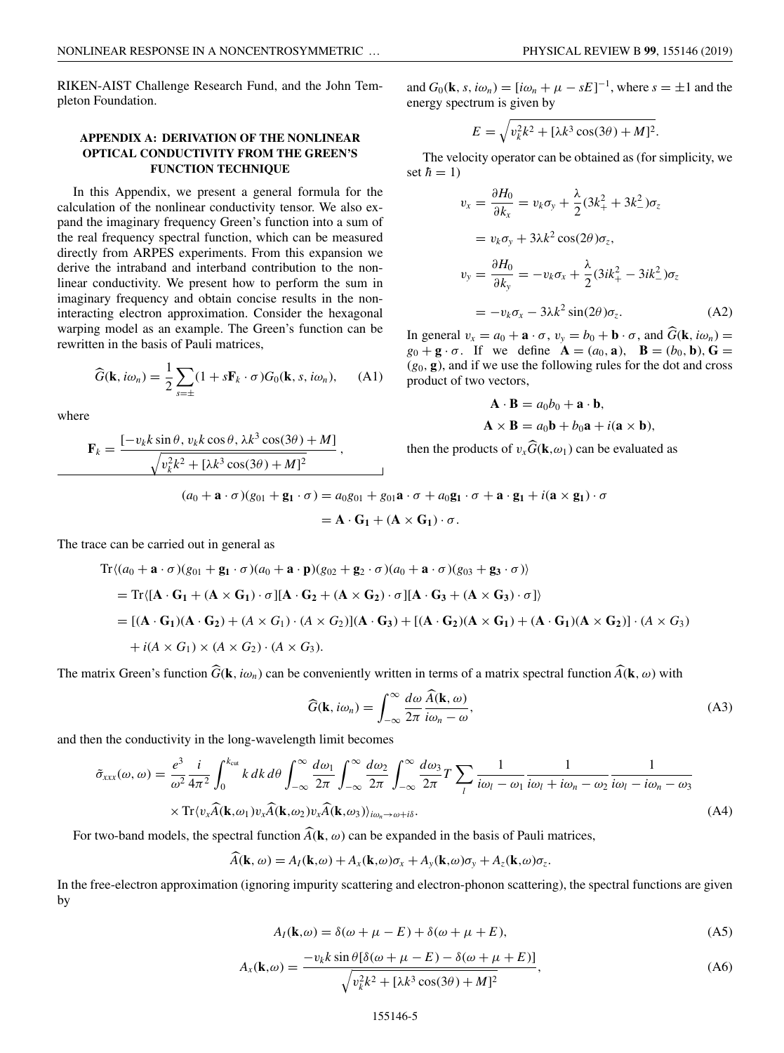RIKEN-AIST Challenge Research Fund, and the John Templeton Foundation.

# **APPENDIX A: DERIVATION OF THE NONLINEAR OPTICAL CONDUCTIVITY FROM THE GREEN'S FUNCTION TECHNIQUE**

In this Appendix, we present a general formula for the calculation of the nonlinear conductivity tensor. We also expand the imaginary frequency Green's function into a sum of the real frequency spectral function, which can be measured directly from ARPES experiments. From this expansion we derive the intraband and interband contribution to the nonlinear conductivity. We present how to perform the sum in imaginary frequency and obtain concise results in the noninteracting electron approximation. Consider the hexagonal warping model as an example. The Green's function can be rewritten in the basis of Pauli matrices,

$$
\widehat{G}(\mathbf{k}, i\omega_n) = \frac{1}{2} \sum_{s=\pm} (1 + s \mathbf{F}_k \cdot \sigma) G_0(\mathbf{k}, s, i\omega_n), \quad \text{(A1)}
$$

where

$$
\mathbf{F}_k = \frac{\left[-v_k k \sin \theta, v_k k \cos \theta, \lambda k^3 \cos(3\theta) + M\right]}{\sqrt{v_k^2 k^2 + \left[\lambda k^3 \cos(3\theta) + M\right]^2}},
$$

and  $G_0(\mathbf{k}, s, i\omega_n) = [i\omega_n + \mu - sE]^{-1}$ , where  $s = \pm 1$  and the energy spectrum is given by

$$
E = \sqrt{v_k^2 k^2 + [\lambda k^3 \cos(3\theta) + M]^2}.
$$

The velocity operator can be obtained as (for simplicity, we set  $\hbar = 1$ )

$$
v_x = \frac{\partial H_0}{\partial k_x} = v_k \sigma_y + \frac{\lambda}{2} (3k_+^2 + 3k_-^2) \sigma_z
$$
  
=  $v_k \sigma_y + 3\lambda k^2 \cos(2\theta) \sigma_z$ ,  

$$
v_y = \frac{\partial H_0}{\partial k_y} = -v_k \sigma_x + \frac{\lambda}{2} (3ik_+^2 - 3ik_-^2) \sigma_z
$$
  
=  $-v_k \sigma_x - 3\lambda k^2 \sin(2\theta) \sigma_z$ . (A2)

In general  $v_x = a_0 + \mathbf{a} \cdot \sigma$ ,  $v_y = b_0 + \mathbf{b} \cdot \sigma$ , and  $G(\mathbf{k}, i\omega_n) =$  $g_0 + \mathbf{g} \cdot \sigma$ . If we define  $\mathbf{A} = (a_0, \mathbf{a})$ ,  $\mathbf{B} = (b_0, \mathbf{b})$ ,  $\mathbf{G} =$  $(g_0, \mathbf{g})$ , and if we use the following rules for the dot and cross product of two vectors,

$$
\mathbf{A} \cdot \mathbf{B} = a_0 b_0 + \mathbf{a} \cdot \mathbf{b},
$$
  

$$
\mathbf{A} \times \mathbf{B} = a_0 \mathbf{b} + b_0 \mathbf{a} + i(\mathbf{a} \times \mathbf{b}),
$$

then the products of  $v_x \vec{G}(\mathbf{k}, \omega_1)$  can be evaluated as

$$
(a_0 + \mathbf{a} \cdot \sigma)(g_{01} + \mathbf{g_1} \cdot \sigma) = a_0 g_{01} + g_{01} \mathbf{a} \cdot \sigma + a_0 \mathbf{g_1} \cdot \sigma + \mathbf{a} \cdot \mathbf{g_1} + i(\mathbf{a} \times \mathbf{g_1}) \cdot \sigma
$$

$$
= \mathbf{A} \cdot \mathbf{G}_1 + (\mathbf{A} \times \mathbf{G}_1) \cdot \sigma.
$$

The trace can be carried out in general as

$$
\begin{split} \text{Tr}\langle (a_0 + \mathbf{a} \cdot \boldsymbol{\sigma})(g_{01} + \mathbf{g}_1 \cdot \boldsymbol{\sigma})(a_0 + \mathbf{a} \cdot \mathbf{p})(g_{02} + \mathbf{g}_2 \cdot \boldsymbol{\sigma})(a_0 + \mathbf{a} \cdot \boldsymbol{\sigma})(g_{03} + \mathbf{g}_3 \cdot \boldsymbol{\sigma}) \rangle \\ &= \text{Tr}\langle [\mathbf{A} \cdot \mathbf{G}_1 + (\mathbf{A} \times \mathbf{G}_1) \cdot \boldsymbol{\sigma}][\mathbf{A} \cdot \mathbf{G}_2 + (\mathbf{A} \times \mathbf{G}_2) \cdot \boldsymbol{\sigma}][\mathbf{A} \cdot \mathbf{G}_3 + (\mathbf{A} \times \mathbf{G}_3) \cdot \boldsymbol{\sigma}] \rangle \\ &= [(\mathbf{A} \cdot \mathbf{G}_1)(\mathbf{A} \cdot \mathbf{G}_2) + (\mathbf{A} \times \mathbf{G}_1) \cdot (\mathbf{A} \times \mathbf{G}_2)](\mathbf{A} \cdot \mathbf{G}_3) + [(\mathbf{A} \cdot \mathbf{G}_2)(\mathbf{A} \times \mathbf{G}_1) + (\mathbf{A} \cdot \mathbf{G}_1)(\mathbf{A} \times \mathbf{G}_2)] \cdot (\mathbf{A} \times \mathbf{G}_3) \\ &+ i(\mathbf{A} \times \mathbf{G}_1) \times (\mathbf{A} \times \mathbf{G}_2) \cdot (\mathbf{A} \times \mathbf{G}_3). \end{split}
$$

The matrix Green's function  $G(\mathbf{k}, i\omega_n)$  can be conveniently written in terms of a matrix spectral function  $A(\mathbf{k}, \omega)$  with

$$
\widehat{G}(\mathbf{k}, i\omega_n) = \int_{-\infty}^{\infty} \frac{d\omega}{2\pi} \frac{\widehat{A}(\mathbf{k}, \omega)}{i\omega_n - \omega},
$$
\n(A3)

and then the conductivity in the long-wavelength limit becomes

$$
\tilde{\sigma}_{xxx}(\omega,\omega) = \frac{e^3}{\omega^2} \frac{i}{4\pi^2} \int_0^{k_{\text{cut}}} k \, dk \, d\theta \int_{-\infty}^{\infty} \frac{d\omega_1}{2\pi} \int_{-\infty}^{\infty} \frac{d\omega_2}{2\pi} \int_{-\infty}^{\infty} \frac{d\omega_3}{2\pi} T \sum_l \frac{1}{i\omega_l - \omega_1} \frac{1}{i\omega_l + i\omega_n - \omega_2} \frac{1}{i\omega_l - i\omega_n - \omega_3}
$$
\n
$$
\times \text{Tr}\langle v_x \hat{A}(\mathbf{k}, \omega_1) v_x \hat{A}(\mathbf{k}, \omega_2) v_x \hat{A}(\mathbf{k}, \omega_3) \rangle_{i\omega_n \to \omega + i\delta}.
$$
\n(A4)

For two-band models, the spectral function  $\vec{A}(\mathbf{k}, \omega)$  can be expanded in the basis of Pauli matrices,

$$
A(\mathbf{k},\omega) = A_I(\mathbf{k},\omega) + A_x(\mathbf{k},\omega)\sigma_x + A_y(\mathbf{k},\omega)\sigma_y + A_z(\mathbf{k},\omega)\sigma_z.
$$

In the free-electron approximation (ignoring impurity scattering and electron-phonon scattering), the spectral functions are given by

$$
A_I(\mathbf{k},\omega) = \delta(\omega + \mu - E) + \delta(\omega + \mu + E),\tag{A5}
$$

$$
A_x(\mathbf{k},\omega) = \frac{-v_k k \sin \theta [\delta(\omega + \mu - E) - \delta(\omega + \mu + E)]}{\sqrt{v_k^2 k^2 + [\lambda k^3 \cos(3\theta) + M]^2}},
$$
(A6)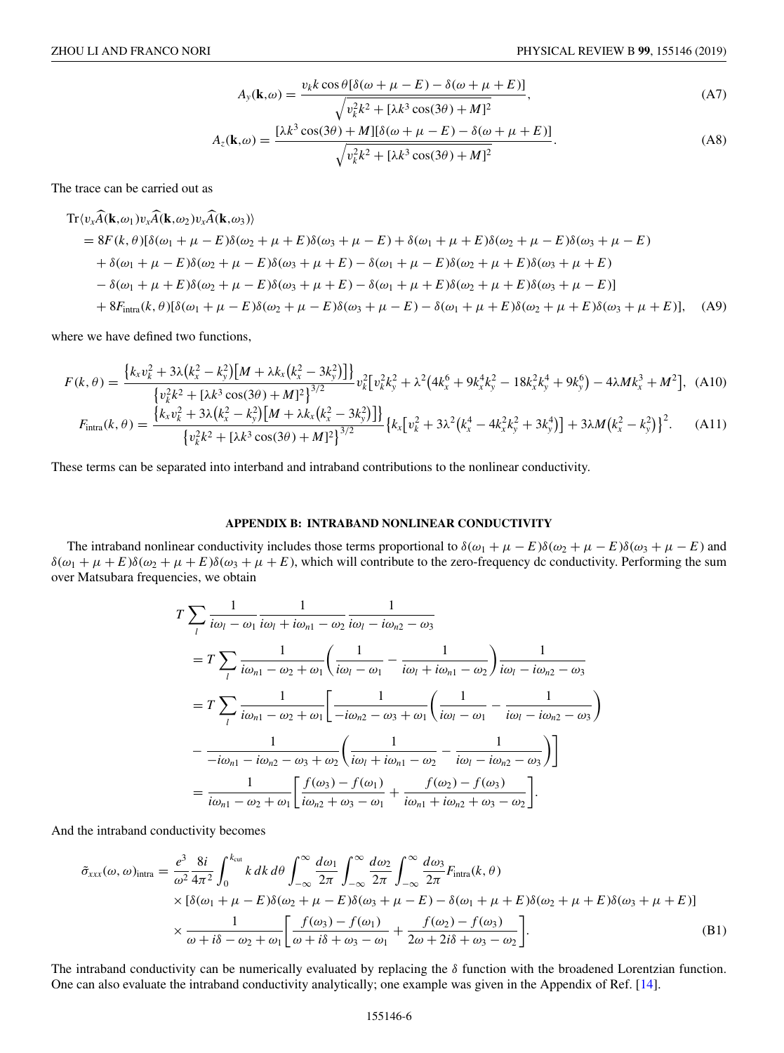$$
A_{y}(\mathbf{k},\omega) = \frac{v_{k}k\cos\theta[\delta(\omega+\mu-E) - \delta(\omega+\mu+E)]}{\sqrt{v_{k}^{2}k^{2} + [\lambda k^{3}\cos(3\theta) + M]^{2}}},
$$
\n(A7)

$$
A_z(\mathbf{k},\omega) = \frac{[\lambda k^3 \cos(3\theta) + M][\delta(\omega + \mu - E) - \delta(\omega + \mu + E)]}{\sqrt{v_k^2 k^2 + [\lambda k^3 \cos(3\theta) + M]^2}}.
$$
 (A8)

The trace can be carried out as

 $\mathbf{r}$ 

 $\overline{a}$ 

 $\overline{a}$ 

$$
\begin{split} \text{Tr}\langle v_{x}\widehat{A}(\mathbf{k},\omega_{1})v_{x}\widehat{A}(\mathbf{k},\omega_{2})v_{x}\widehat{A}(\mathbf{k},\omega_{3})\rangle \\ &= 8F(k,\theta)[\delta(\omega_{1}+\mu-E)\delta(\omega_{2}+\mu+E)\delta(\omega_{3}+\mu-E)+\delta(\omega_{1}+\mu+E)\delta(\omega_{2}+\mu-E)\delta(\omega_{3}+\mu-E) \\ &+ \delta(\omega_{1}+\mu-E)\delta(\omega_{2}+\mu-E)\delta(\omega_{3}+\mu+E)-\delta(\omega_{1}+\mu-E)\delta(\omega_{2}+\mu+E)\delta(\omega_{3}+\mu+E) \\ &- \delta(\omega_{1}+\mu+E)\delta(\omega_{2}+\mu-E)\delta(\omega_{3}+\mu+E)-\delta(\omega_{1}+\mu+E)\delta(\omega_{2}+\mu+E)\delta(\omega_{3}+\mu-E)] \\ &+ 8F_{\text{intra}}(k,\theta)[\delta(\omega_{1}+\mu-E)\delta(\omega_{2}+\mu-E)\delta(\omega_{3}+\mu-E)-\delta(\omega_{1}+\mu+E)\delta(\omega_{2}+\mu+E)\delta(\omega_{3}+\mu+E)], \end{split} \tag{A9}
$$

where we have defined two functions,

$$
F(k,\theta) = \frac{\left\{k_x v_k^2 + 3\lambda \left(k_x^2 - k_y^2\right) \left[M + \lambda k_x \left(k_x^2 - 3k_y^2\right)\right]\right\}}{\left\{v_k^2 k^2 + \left[\lambda k^3 \cos(3\theta) + M\right]^2\right\}^{3/2}} v_k^2 \left[v_k^2 k_y^2 + \lambda^2 \left(4k_x^6 + 9k_x^4 k_y^2 - 18k_x^2 k_y^4 + 9k_y^6\right) - 4\lambda M k_x^3 + M^2\right], \tag{A10}
$$

$$
F_{\text{intra}}(k,\theta) = \frac{\left\{k_x v_k^2 + 3\lambda \left(k_x^2 - k_y^2\right) \left[M + \lambda k_x \left(k_x^2 - 3k_y^2\right)\right]\right\}}{\left\{v_k^2 k^2 + \left[\lambda k^3 \cos(3\theta) + M\right]^2\right\}^{3/2}} \left\{k_x \left[v_k^2 + 3\lambda^2 \left(k_x^4 - 4k_x^2 k_y^2 + 3k_y^4\right)\right] + 3\lambda M \left(k_x^2 - k_y^2\right)\right\}^2. \tag{A11}
$$

These terms can be separated into interband and intraband contributions to the nonlinear conductivity.

## **APPENDIX B: INTRABAND NONLINEAR CONDUCTIVITY**

The intraband nonlinear conductivity includes those terms proportional to  $\delta(\omega_1 + \mu - E)\delta(\omega_2 + \mu - E)\delta(\omega_3 + \mu - E)$  and  $\delta(\omega_1 + \mu + E)\delta(\omega_2 + \mu + E)\delta(\omega_3 + \mu + E)$ , which will contribute to the zero-frequency dc conductivity. Performing the sum over Matsubara frequencies, we obtain

$$
T \sum_{l} \frac{1}{i\omega_{l} - \omega_{1}} \frac{1}{i\omega_{l} + i\omega_{n1} - \omega_{2}} \frac{1}{i\omega_{l} - i\omega_{n2} - \omega_{3}}
$$
  
=  $T \sum_{l} \frac{1}{i\omega_{n1} - \omega_{2} + \omega_{1}} \left( \frac{1}{i\omega_{l} - \omega_{1}} - \frac{1}{i\omega_{l} + i\omega_{n1} - \omega_{2}} \right) \frac{1}{i\omega_{l} - i\omega_{n2} - \omega_{3}}$   
=  $T \sum_{l} \frac{1}{i\omega_{n1} - \omega_{2} + \omega_{1}} \left[ \frac{1}{-i\omega_{n2} - \omega_{3} + \omega_{1}} \left( \frac{1}{i\omega_{l} - \omega_{1}} - \frac{1}{i\omega_{l} - i\omega_{n2} - \omega_{3}} \right) \right]$   
-  $\frac{1}{-i\omega_{n1} - i\omega_{n2} - \omega_{3} + \omega_{2}} \left( \frac{1}{i\omega_{l} + i\omega_{n1} - \omega_{2}} - \frac{1}{i\omega_{l} - i\omega_{n2} - \omega_{3}} \right) \right]$   
=  $\frac{1}{i\omega_{n1} - \omega_{2} + \omega_{1}} \left[ \frac{f(\omega_{3}) - f(\omega_{1})}{i\omega_{n2} + \omega_{3} - \omega_{1}} + \frac{f(\omega_{2}) - f(\omega_{3})}{i\omega_{n1} + i\omega_{n2} + \omega_{3} - \omega_{2}} \right].$ 

And the intraband conductivity becomes

$$
\tilde{\sigma}_{xxx}(\omega,\omega)_{intra} = \frac{e^3}{\omega^2} \frac{8i}{4\pi^2} \int_0^{k_{cut}} k \, dk \, d\theta \int_{-\infty}^{\infty} \frac{d\omega_1}{2\pi} \int_{-\infty}^{\infty} \frac{d\omega_2}{2\pi} \int_{-\infty}^{\infty} \frac{d\omega_3}{2\pi} F_{intra}(k,\theta)
$$
  
×  $[\delta(\omega_1 + \mu - E)\delta(\omega_2 + \mu - E)\delta(\omega_3 + \mu - E) - \delta(\omega_1 + \mu + E)\delta(\omega_2 + \mu + E)\delta(\omega_3 + \mu + E)]$   
×  $\frac{1}{\omega + i\delta - \omega_2 + \omega_1} \left[ \frac{f(\omega_3) - f(\omega_1)}{\omega + i\delta + \omega_3 - \omega_1} + \frac{f(\omega_2) - f(\omega_3)}{2\omega + 2i\delta + \omega_3 - \omega_2} \right].$  (B1)

The intraband conductivity can be numerically evaluated by replacing the  $\delta$  function with the broadened Lorentzian function. One can also evaluate the intraband conductivity analytically; one example was given in the Appendix of Ref. [\[14\]](#page-6-0).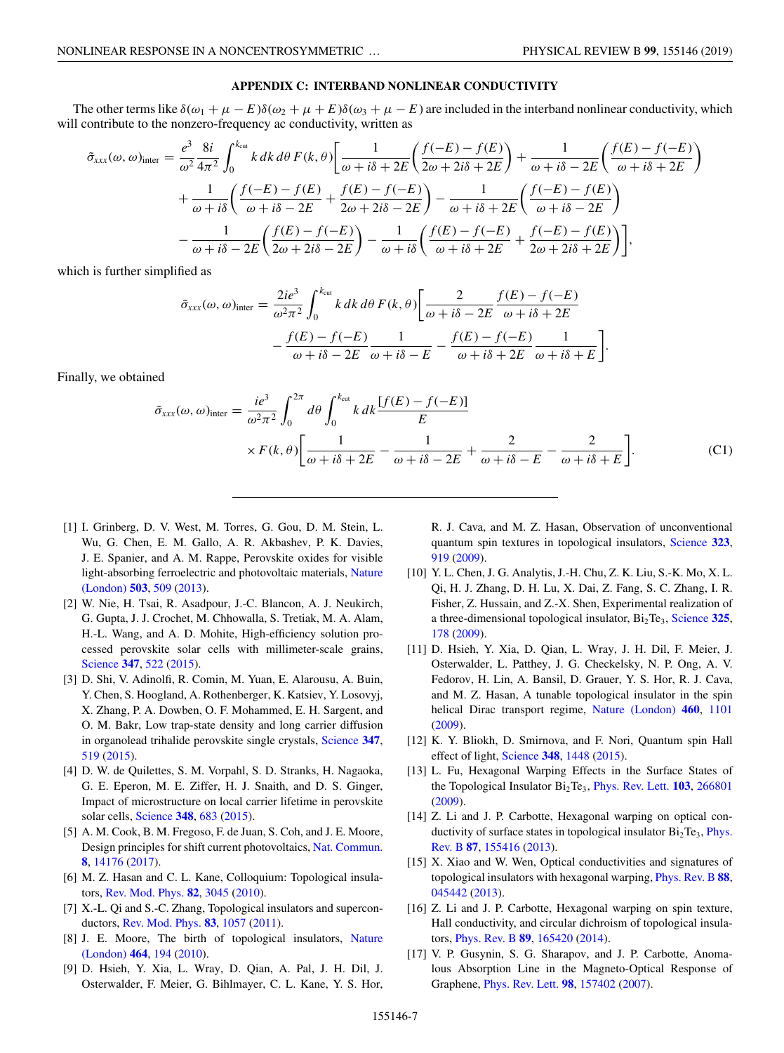## **APPENDIX C: INTERBAND NONLINEAR CONDUCTIVITY**

<span id="page-6-0"></span>The other terms like  $\delta(\omega_1 + \mu - E)\delta(\omega_2 + \mu + E)\delta(\omega_3 + \mu - E)$  are included in the interband nonlinear conductivity, which will contribute to the nonzero-frequency ac conductivity, written as

$$
\tilde{\sigma}_{xxx}(\omega,\omega)_{\text{inter}} = \frac{e^3}{\omega^2} \frac{8i}{4\pi^2} \int_0^{k_{\text{cut}}} k \, dk \, d\theta \, F(k,\theta) \bigg[ \frac{1}{\omega + i\delta + 2E} \bigg( \frac{f(-E) - f(E)}{2\omega + 2i\delta + 2E} \bigg) + \frac{1}{\omega + i\delta - 2E} \bigg( \frac{f(E) - f(-E)}{\omega + i\delta + 2E} \bigg) \bigg]
$$

$$
+ \frac{1}{\omega + i\delta} \bigg( \frac{f(-E) - f(E)}{\omega + i\delta - 2E} + \frac{f(E) - f(-E)}{2\omega + 2i\delta - 2E} \bigg) - \frac{1}{\omega + i\delta + 2E} \bigg( \frac{f(-E) - f(E)}{\omega + i\delta - 2E} \bigg)
$$

$$
- \frac{1}{\omega + i\delta - 2E} \bigg( \frac{f(E) - f(-E)}{2\omega + 2i\delta - 2E} \bigg) - \frac{1}{\omega + i\delta} \bigg( \frac{f(E) - f(-E)}{\omega + i\delta + 2E} + \frac{f(-E) - f(E)}{2\omega + 2i\delta + 2E} \bigg) \bigg],
$$

which is further simplified as

$$
\tilde{\sigma}_{xxx}(\omega,\omega)_{\text{inter}} = \frac{2ie^3}{\omega^2\pi^2} \int_0^{k_{\text{cut}}} k \, dk \, d\theta \, F(k,\theta) \bigg[ \frac{2}{\omega + i\delta - 2E} \frac{f(E) - f(-E)}{\omega + i\delta + 2E} - \frac{f(E) - f(-E)}{\omega + i\delta - 2E} \frac{1}{\omega + i\delta - E} - \frac{f(E) - f(-E)}{\omega + i\delta + 2E} \frac{1}{\omega + i\delta + E} \bigg].
$$

Finally, we obtained

$$
\tilde{\sigma}_{xxx}(\omega,\omega)_{\text{inter}} = \frac{ie^3}{\omega^2 \pi^2} \int_0^{2\pi} d\theta \int_0^{k_{\text{cut}}} k \, dk \frac{[f(E) - f(-E)]}{E} \times F(k,\theta) \left[ \frac{1}{\omega + i\delta + 2E} - \frac{1}{\omega + i\delta - 2E} + \frac{2}{\omega + i\delta - E} - \frac{2}{\omega + i\delta + E} \right]. \tag{C1}
$$

- [1] I. Grinberg, D. V. West, M. Torres, G. Gou, D. M. Stein, L. Wu, G. Chen, E. M. Gallo, A. R. Akbashev, P. K. Davies, J. E. Spanier, and A. M. Rappe, Perovskite oxides for visible [light-absorbing ferroelectric and photovoltaic materials,](https://doi.org/10.1038/nature12622) Nature (London) **[503](https://doi.org/10.1038/nature12622)**, [509](https://doi.org/10.1038/nature12622) [\(2013\)](https://doi.org/10.1038/nature12622).
- [2] W. Nie, H. Tsai, R. Asadpour, J.-C. Blancon, A. J. Neukirch, G. Gupta, J. J. Crochet, M. Chhowalla, S. Tretiak, M. A. Alam, H.-L. Wang, and A. D. Mohite, High-efficiency solution processed perovskite solar cells with millimeter-scale grains, [Science](https://doi.org/10.1126/science.aaa0472) **[347](https://doi.org/10.1126/science.aaa0472)**, [522](https://doi.org/10.1126/science.aaa0472) [\(2015\)](https://doi.org/10.1126/science.aaa0472).
- [3] D. Shi, V. Adinolfi, R. Comin, M. Yuan, E. Alarousu, A. Buin, Y. Chen, S. Hoogland, A. Rothenberger, K. Katsiev, Y. Losovyj, X. Zhang, P. A. Dowben, O. F. Mohammed, E. H. Sargent, and O. M. Bakr, Low trap-state density and long carrier diffusion in organolead trihalide perovskite single crystals, [Science](https://doi.org/10.1126/science.aaa2725) **[347](https://doi.org/10.1126/science.aaa2725)**, [519](https://doi.org/10.1126/science.aaa2725) [\(2015\)](https://doi.org/10.1126/science.aaa2725).
- [4] D. W. de Quilettes, S. M. Vorpahl, S. D. Stranks, H. Nagaoka, G. E. Eperon, M. E. Ziffer, H. J. Snaith, and D. S. Ginger, Impact of microstructure on local carrier lifetime in perovskite solar cells, [Science](https://doi.org/10.1126/science.aaa5333) **[348](https://doi.org/10.1126/science.aaa5333)**, [683](https://doi.org/10.1126/science.aaa5333) [\(2015\)](https://doi.org/10.1126/science.aaa5333).
- [5] A. M. Cook, B. M. Fregoso, F. de Juan, S. Coh, and J. E. Moore, Design principles for shift current photovoltaics, [Nat. Commun.](https://doi.org/10.1038/ncomms14176) **[8](https://doi.org/10.1038/ncomms14176)**, [14176](https://doi.org/10.1038/ncomms14176) [\(2017\)](https://doi.org/10.1038/ncomms14176).
- [6] M. Z. Hasan and C. L. Kane, Colloquium: Topological insulators, [Rev. Mod. Phys.](https://doi.org/10.1103/RevModPhys.82.3045) **[82](https://doi.org/10.1103/RevModPhys.82.3045)**, [3045](https://doi.org/10.1103/RevModPhys.82.3045) [\(2010\)](https://doi.org/10.1103/RevModPhys.82.3045).
- [7] X.-L. Qi and S.-C. Zhang, Topological insulators and superconductors, [Rev. Mod. Phys.](https://doi.org/10.1103/RevModPhys.83.1057) **[83](https://doi.org/10.1103/RevModPhys.83.1057)**, [1057](https://doi.org/10.1103/RevModPhys.83.1057) [\(2011\)](https://doi.org/10.1103/RevModPhys.83.1057).
- [8] [J. E. Moore, The birth of topological insulators,](https://doi.org/10.1038/nature08916) Nature (London) **[464](https://doi.org/10.1038/nature08916)**, [194](https://doi.org/10.1038/nature08916) [\(2010\)](https://doi.org/10.1038/nature08916).
- [9] D. Hsieh, Y. Xia, L. Wray, D. Qian, A. Pal, J. H. Dil, J. Osterwalder, F. Meier, G. Bihlmayer, C. L. Kane, Y. S. Hor,

R. J. Cava, and M. Z. Hasan, Observation of unconventional quantum spin textures in topological insulators, [Science](https://doi.org/10.1126/science.1167733) **[323](https://doi.org/10.1126/science.1167733)**, [919](https://doi.org/10.1126/science.1167733) [\(2009\)](https://doi.org/10.1126/science.1167733).

- [10] Y. L. Chen, J. G. Analytis, J.-H. Chu, Z. K. Liu, S.-K. Mo, X. L. Qi, H. J. Zhang, D. H. Lu, X. Dai, Z. Fang, S. C. Zhang, I. R. Fisher, Z. Hussain, and Z.-X. Shen, Experimental realization of a three-dimensional topological insulator, Bi2Te3, [Science](https://doi.org/10.1126/science.1173034) **[325](https://doi.org/10.1126/science.1173034)**, [178](https://doi.org/10.1126/science.1173034) [\(2009\)](https://doi.org/10.1126/science.1173034).
- [11] D. Hsieh, Y. Xia, D. Qian, L. Wray, J. H. Dil, F. Meier, J. Osterwalder, L. Patthey, J. G. Checkelsky, N. P. Ong, A. V. Fedorov, H. Lin, A. Bansil, D. Grauer, Y. S. Hor, R. J. Cava, and M. Z. Hasan, A tunable topological insulator in the spin helical Dirac transport regime, [Nature \(London\)](https://doi.org/10.1038/nature08234) **[460](https://doi.org/10.1038/nature08234)**, [1101](https://doi.org/10.1038/nature08234) [\(2009\)](https://doi.org/10.1038/nature08234).
- [12] K. Y. Bliokh, D. Smirnova, and F. Nori, Quantum spin Hall effect of light, [Science](https://doi.org/10.1126/science.aaa9519) **[348](https://doi.org/10.1126/science.aaa9519)**, [1448](https://doi.org/10.1126/science.aaa9519) [\(2015\)](https://doi.org/10.1126/science.aaa9519).
- [13] L. Fu, Hexagonal Warping Effects in the Surface States of the Topological Insulator Bi<sub>2</sub>Te<sub>3</sub>, [Phys. Rev. Lett.](https://doi.org/10.1103/PhysRevLett.103.266801) **[103](https://doi.org/10.1103/PhysRevLett.103.266801)**, [266801](https://doi.org/10.1103/PhysRevLett.103.266801) [\(2009\)](https://doi.org/10.1103/PhysRevLett.103.266801).
- [14] Z. Li and J. P. Carbotte, Hexagonal warping on optical conductivity of surface states in topological insulator  $Bi<sub>2</sub>Te<sub>3</sub>$ , Phys. Rev. B **[87](https://doi.org/10.1103/PhysRevB.87.155416)**, [155416](https://doi.org/10.1103/PhysRevB.87.155416) [\(2013\)](https://doi.org/10.1103/PhysRevB.87.155416).
- [15] X. Xiao and W. Wen, Optical conductivities and signatures of topological insulators with hexagonal warping, [Phys. Rev. B](https://doi.org/10.1103/PhysRevB.88.045442) **[88](https://doi.org/10.1103/PhysRevB.88.045442)**, [045442](https://doi.org/10.1103/PhysRevB.88.045442) [\(2013\)](https://doi.org/10.1103/PhysRevB.88.045442).
- [16] Z. Li and J. P. Carbotte, Hexagonal warping on spin texture, Hall conductivity, and circular dichroism of topological insulators, [Phys. Rev. B](https://doi.org/10.1103/PhysRevB.89.165420) **[89](https://doi.org/10.1103/PhysRevB.89.165420)**, [165420](https://doi.org/10.1103/PhysRevB.89.165420) [\(2014\)](https://doi.org/10.1103/PhysRevB.89.165420).
- [17] V. P. Gusynin, S. G. Sharapov, and J. P. Carbotte, Anomalous Absorption Line in the Magneto-Optical Response of Graphene, [Phys. Rev. Lett.](https://doi.org/10.1103/PhysRevLett.98.157402) **[98](https://doi.org/10.1103/PhysRevLett.98.157402)**, [157402](https://doi.org/10.1103/PhysRevLett.98.157402) [\(2007\)](https://doi.org/10.1103/PhysRevLett.98.157402).